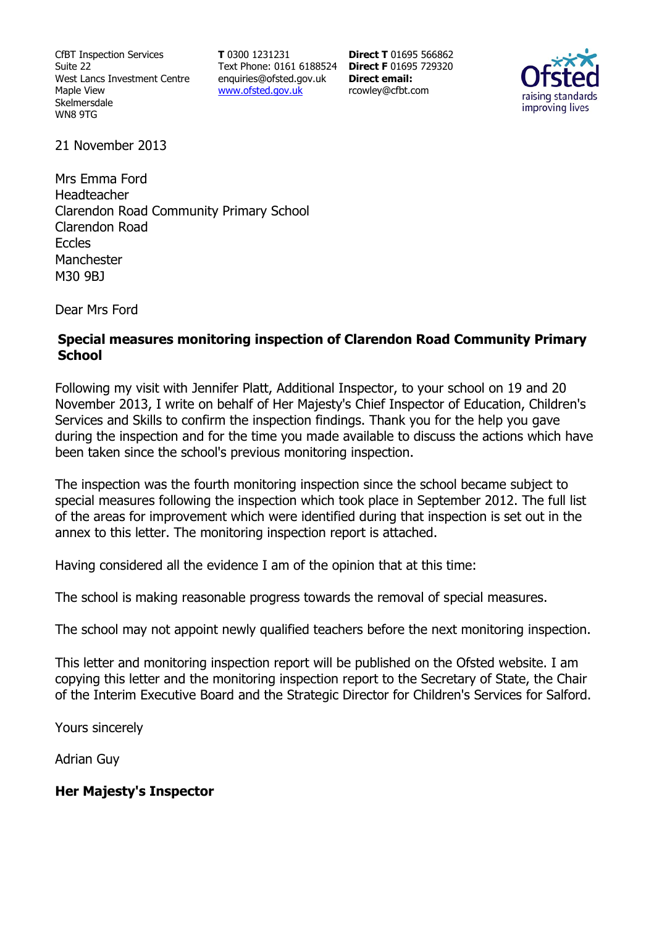CfBT Inspection Services Suite 22 West Lancs Investment Centre Maple View Skelmersdale WN8 9TG

**T** 0300 1231231 Text Phone: 0161 6188524 **Direct F** 01695 729320 enquiries@ofsted.gov.uk www.ofsted.gov.uk

**Direct T** 01695 566862 **Direct email:**  rcowley@cfbt.com



21 November 2013

Mrs Emma Ford Headteacher Clarendon Road Community Primary School Clarendon Road Eccles Manchester M30 9BJ

Dear Mrs Ford

### **Special measures monitoring inspection of Clarendon Road Community Primary School**

Following my visit with Jennifer Platt, Additional Inspector, to your school on 19 and 20 November 2013, I write on behalf of Her Majesty's Chief Inspector of Education, Children's Services and Skills to confirm the inspection findings. Thank you for the help you gave during the inspection and for the time you made available to discuss the actions which have been taken since the school's previous monitoring inspection.

The inspection was the fourth monitoring inspection since the school became subject to special measures following the inspection which took place in September 2012. The full list of the areas for improvement which were identified during that inspection is set out in the annex to this letter. The monitoring inspection report is attached.

Having considered all the evidence I am of the opinion that at this time:

The school is making reasonable progress towards the removal of special measures.

The school may not appoint newly qualified teachers before the next monitoring inspection.

This letter and monitoring inspection report will be published on the Ofsted website. I am copying this letter and the monitoring inspection report to the Secretary of State, the Chair of the Interim Executive Board and the Strategic Director for Children's Services for Salford.

Yours sincerely

Adrian Guy

#### **Her Majesty's Inspector**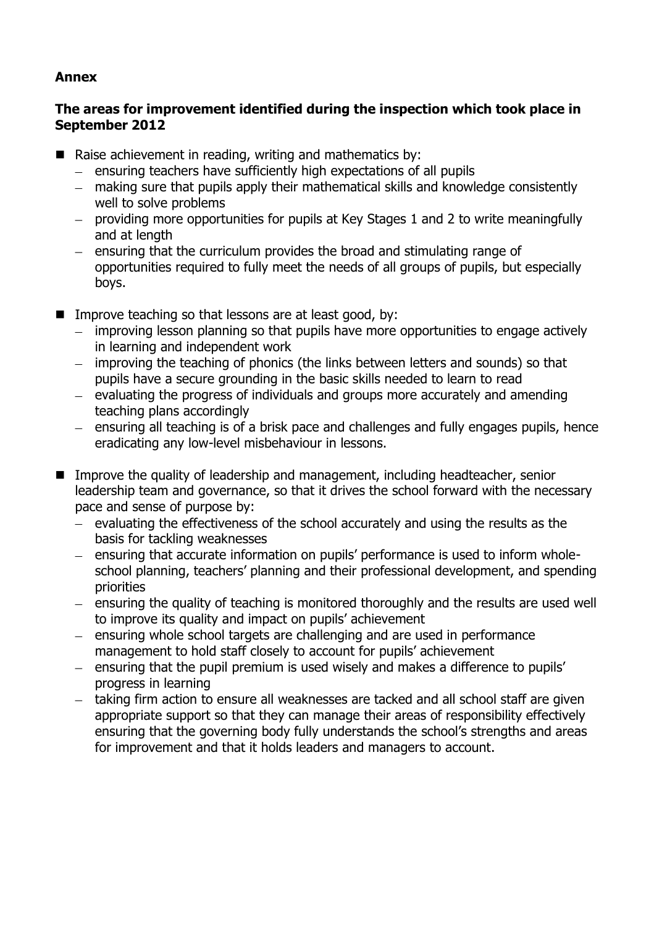## **Annex**

## **The areas for improvement identified during the inspection which took place in September 2012**

- Raise achievement in reading, writing and mathematics by:
	- $-$  ensuring teachers have sufficiently high expectations of all pupils
	- making sure that pupils apply their mathematical skills and knowledge consistently well to solve problems
	- providing more opportunities for pupils at Key Stages 1 and 2 to write meaningfully and at length
	- $-$  ensuring that the curriculum provides the broad and stimulating range of opportunities required to fully meet the needs of all groups of pupils, but especially boys.
- Improve teaching so that lessons are at least good, by:
	- improving lesson planning so that pupils have more opportunities to engage actively in learning and independent work
	- improving the teaching of phonics (the links between letters and sounds) so that pupils have a secure grounding in the basic skills needed to learn to read
	- $-$  evaluating the progress of individuals and groups more accurately and amending teaching plans accordingly
	- ensuring all teaching is of a brisk pace and challenges and fully engages pupils, hence eradicating any low-level misbehaviour in lessons.
- Improve the quality of leadership and management, including headteacher, senior leadership team and governance, so that it drives the school forward with the necessary pace and sense of purpose by:
	- $-$  evaluating the effectiveness of the school accurately and using the results as the basis for tackling weaknesses
	- ensuring that accurate information on pupils' performance is used to inform wholeschool planning, teachers' planning and their professional development, and spending priorities
	- $-$  ensuring the quality of teaching is monitored thoroughly and the results are used well to improve its quality and impact on pupils' achievement
	- ensuring whole school targets are challenging and are used in performance management to hold staff closely to account for pupils' achievement
	- ensuring that the pupil premium is used wisely and makes a difference to pupils' progress in learning
	- taking firm action to ensure all weaknesses are tacked and all school staff are given appropriate support so that they can manage their areas of responsibility effectively ensuring that the governing body fully understands the school's strengths and areas for improvement and that it holds leaders and managers to account.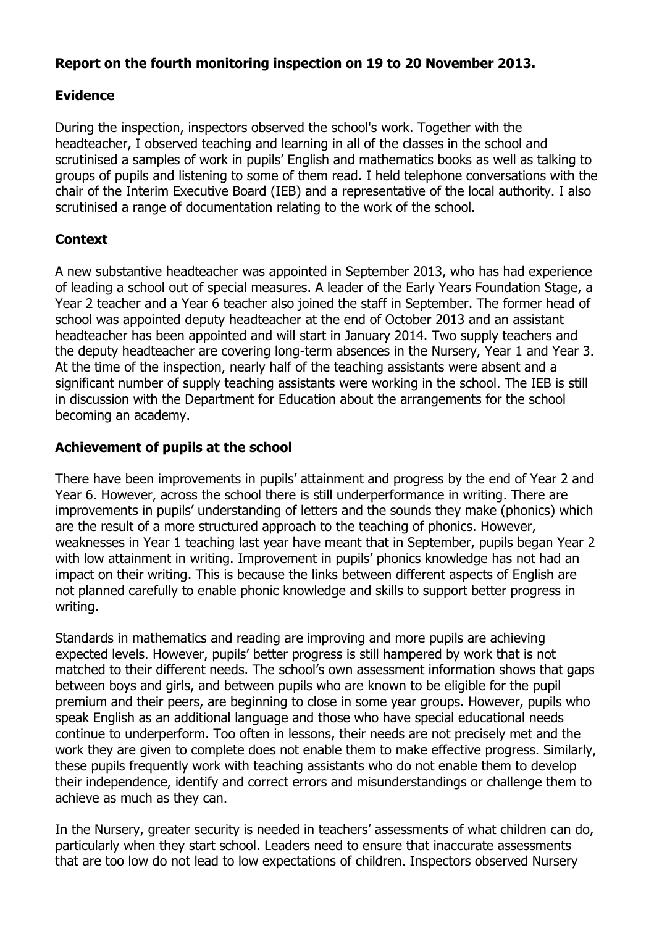## **Report on the fourth monitoring inspection on 19 to 20 November 2013.**

## **Evidence**

During the inspection, inspectors observed the school's work. Together with the headteacher, I observed teaching and learning in all of the classes in the school and scrutinised a samples of work in pupils' English and mathematics books as well as talking to groups of pupils and listening to some of them read. I held telephone conversations with the chair of the Interim Executive Board (IEB) and a representative of the local authority. I also scrutinised a range of documentation relating to the work of the school.

# **Context**

A new substantive headteacher was appointed in September 2013, who has had experience of leading a school out of special measures. A leader of the Early Years Foundation Stage, a Year 2 teacher and a Year 6 teacher also joined the staff in September. The former head of school was appointed deputy headteacher at the end of October 2013 and an assistant headteacher has been appointed and will start in January 2014. Two supply teachers and the deputy headteacher are covering long-term absences in the Nursery, Year 1 and Year 3. At the time of the inspection, nearly half of the teaching assistants were absent and a significant number of supply teaching assistants were working in the school. The IEB is still in discussion with the Department for Education about the arrangements for the school becoming an academy.

## **Achievement of pupils at the school**

There have been improvements in pupils' attainment and progress by the end of Year 2 and Year 6. However, across the school there is still underperformance in writing. There are improvements in pupils' understanding of letters and the sounds they make (phonics) which are the result of a more structured approach to the teaching of phonics. However, weaknesses in Year 1 teaching last year have meant that in September, pupils began Year 2 with low attainment in writing. Improvement in pupils' phonics knowledge has not had an impact on their writing. This is because the links between different aspects of English are not planned carefully to enable phonic knowledge and skills to support better progress in writing.

Standards in mathematics and reading are improving and more pupils are achieving expected levels. However, pupils' better progress is still hampered by work that is not matched to their different needs. The school's own assessment information shows that gaps between boys and girls, and between pupils who are known to be eligible for the pupil premium and their peers, are beginning to close in some year groups. However, pupils who speak English as an additional language and those who have special educational needs continue to underperform. Too often in lessons, their needs are not precisely met and the work they are given to complete does not enable them to make effective progress. Similarly, these pupils frequently work with teaching assistants who do not enable them to develop their independence, identify and correct errors and misunderstandings or challenge them to achieve as much as they can.

In the Nursery, greater security is needed in teachers' assessments of what children can do, particularly when they start school. Leaders need to ensure that inaccurate assessments that are too low do not lead to low expectations of children. Inspectors observed Nursery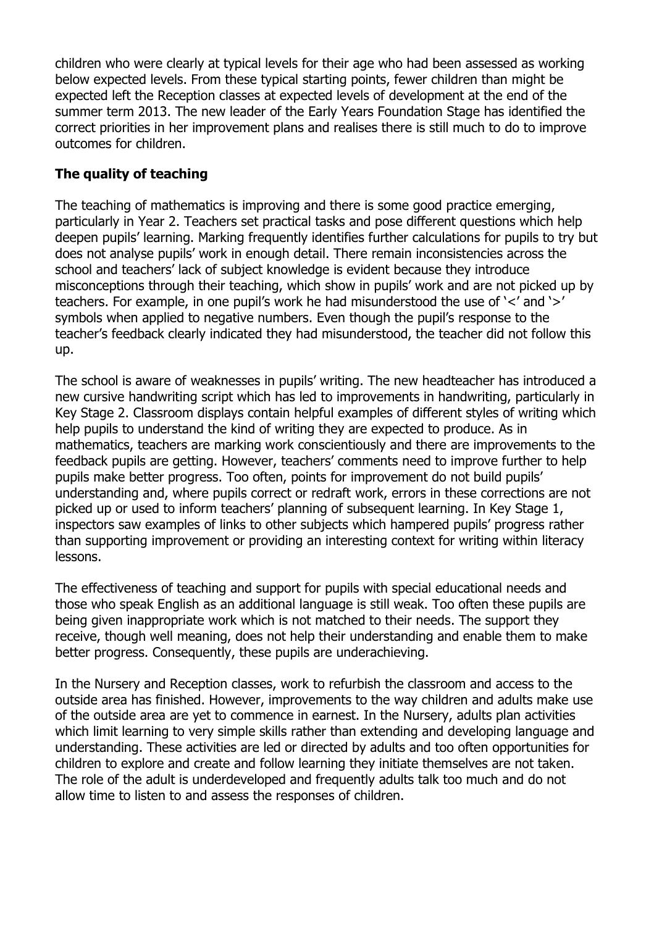children who were clearly at typical levels for their age who had been assessed as working below expected levels. From these typical starting points, fewer children than might be expected left the Reception classes at expected levels of development at the end of the summer term 2013. The new leader of the Early Years Foundation Stage has identified the correct priorities in her improvement plans and realises there is still much to do to improve outcomes for children.

## **The quality of teaching**

The teaching of mathematics is improving and there is some good practice emerging, particularly in Year 2. Teachers set practical tasks and pose different questions which help deepen pupils' learning. Marking frequently identifies further calculations for pupils to try but does not analyse pupils' work in enough detail. There remain inconsistencies across the school and teachers' lack of subject knowledge is evident because they introduce misconceptions through their teaching, which show in pupils' work and are not picked up by teachers. For example, in one pupil's work he had misunderstood the use of '<' and '>' symbols when applied to negative numbers. Even though the pupil's response to the teacher's feedback clearly indicated they had misunderstood, the teacher did not follow this up.

The school is aware of weaknesses in pupils' writing. The new headteacher has introduced a new cursive handwriting script which has led to improvements in handwriting, particularly in Key Stage 2. Classroom displays contain helpful examples of different styles of writing which help pupils to understand the kind of writing they are expected to produce. As in mathematics, teachers are marking work conscientiously and there are improvements to the feedback pupils are getting. However, teachers' comments need to improve further to help pupils make better progress. Too often, points for improvement do not build pupils' understanding and, where pupils correct or redraft work, errors in these corrections are not picked up or used to inform teachers' planning of subsequent learning. In Key Stage 1, inspectors saw examples of links to other subjects which hampered pupils' progress rather than supporting improvement or providing an interesting context for writing within literacy lessons.

The effectiveness of teaching and support for pupils with special educational needs and those who speak English as an additional language is still weak. Too often these pupils are being given inappropriate work which is not matched to their needs. The support they receive, though well meaning, does not help their understanding and enable them to make better progress. Consequently, these pupils are underachieving.

In the Nursery and Reception classes, work to refurbish the classroom and access to the outside area has finished. However, improvements to the way children and adults make use of the outside area are yet to commence in earnest. In the Nursery, adults plan activities which limit learning to very simple skills rather than extending and developing language and understanding. These activities are led or directed by adults and too often opportunities for children to explore and create and follow learning they initiate themselves are not taken. The role of the adult is underdeveloped and frequently adults talk too much and do not allow time to listen to and assess the responses of children.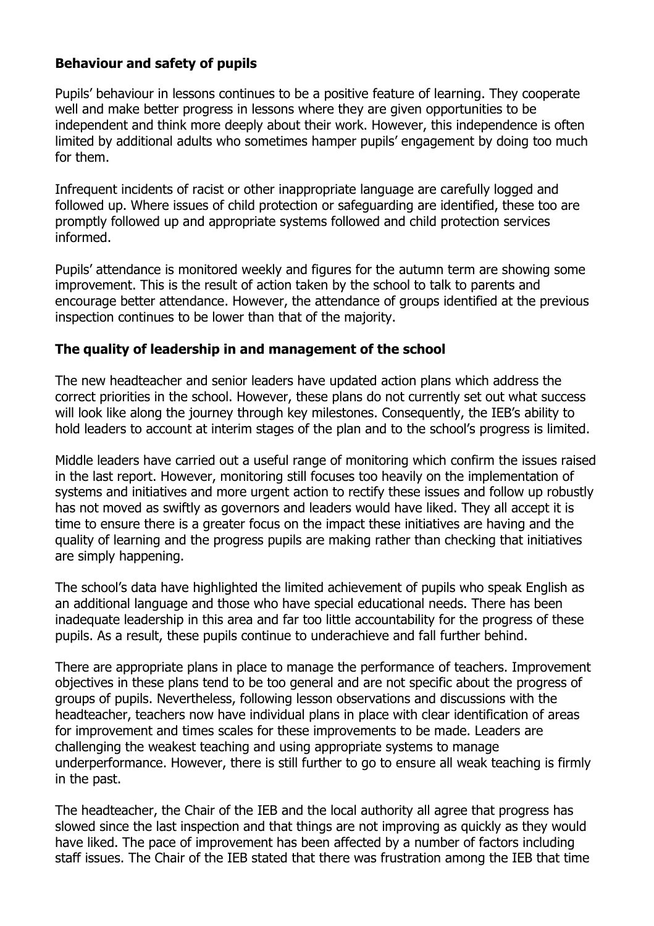### **Behaviour and safety of pupils**

Pupils' behaviour in lessons continues to be a positive feature of learning. They cooperate well and make better progress in lessons where they are given opportunities to be independent and think more deeply about their work. However, this independence is often limited by additional adults who sometimes hamper pupils' engagement by doing too much for them.

Infrequent incidents of racist or other inappropriate language are carefully logged and followed up. Where issues of child protection or safeguarding are identified, these too are promptly followed up and appropriate systems followed and child protection services informed.

Pupils' attendance is monitored weekly and figures for the autumn term are showing some improvement. This is the result of action taken by the school to talk to parents and encourage better attendance. However, the attendance of groups identified at the previous inspection continues to be lower than that of the majority.

### **The quality of leadership in and management of the school**

The new headteacher and senior leaders have updated action plans which address the correct priorities in the school. However, these plans do not currently set out what success will look like along the journey through key milestones. Consequently, the IEB's ability to hold leaders to account at interim stages of the plan and to the school's progress is limited.

Middle leaders have carried out a useful range of monitoring which confirm the issues raised in the last report. However, monitoring still focuses too heavily on the implementation of systems and initiatives and more urgent action to rectify these issues and follow up robustly has not moved as swiftly as governors and leaders would have liked. They all accept it is time to ensure there is a greater focus on the impact these initiatives are having and the quality of learning and the progress pupils are making rather than checking that initiatives are simply happening.

The school's data have highlighted the limited achievement of pupils who speak English as an additional language and those who have special educational needs. There has been inadequate leadership in this area and far too little accountability for the progress of these pupils. As a result, these pupils continue to underachieve and fall further behind.

There are appropriate plans in place to manage the performance of teachers. Improvement objectives in these plans tend to be too general and are not specific about the progress of groups of pupils. Nevertheless, following lesson observations and discussions with the headteacher, teachers now have individual plans in place with clear identification of areas for improvement and times scales for these improvements to be made. Leaders are challenging the weakest teaching and using appropriate systems to manage underperformance. However, there is still further to go to ensure all weak teaching is firmly in the past.

The headteacher, the Chair of the IEB and the local authority all agree that progress has slowed since the last inspection and that things are not improving as quickly as they would have liked. The pace of improvement has been affected by a number of factors including staff issues. The Chair of the IEB stated that there was frustration among the IEB that time